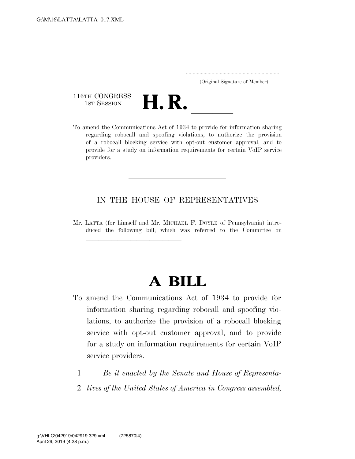..................................................................... (Original Signature of Member)

116TH CONGRESS<br>1st Session



116TH CONGRESS<br>1st SESSION **H. R.** <u>International Act of 1934</u> to provide for information sharing regarding robocall and spoofing violations, to authorize the provision of a robocall blocking service with opt-out customer approval, and to provide for a study on information requirements for certain VoIP service providers.

## IN THE HOUSE OF REPRESENTATIVES

Mr. LATTA (for himself and Mr. MICHAEL F. DOYLE of Pennsylvania) introduced the following bill; which was referred to the Committee on

llland and a state of the state of the state of the state of the state of the state of the state of the state o

## **A BILL**

- To amend the Communications Act of 1934 to provide for information sharing regarding robocall and spoofing violations, to authorize the provision of a robocall blocking service with opt-out customer approval, and to provide for a study on information requirements for certain VoIP service providers.
	- 1 *Be it enacted by the Senate and House of Representa-*
	- 2 *tives of the United States of America in Congress assembled,*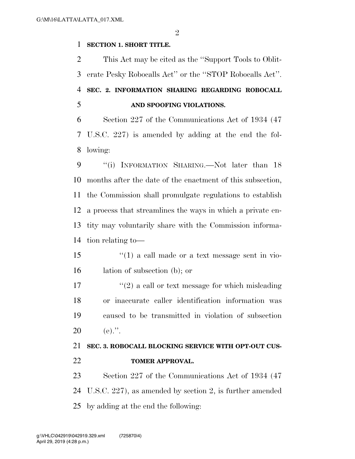## **SECTION 1. SHORT TITLE.**

 This Act may be cited as the ''Support Tools to Oblit- erate Pesky Robocalls Act'' or the ''STOP Robocalls Act''. **SEC. 2. INFORMATION SHARING REGARDING ROBOCALL AND SPOOFING VIOLATIONS.** 

 Section 227 of the Communications Act of 1934 (47 U.S.C. 227) is amended by adding at the end the fol-lowing:

9 "(i) INFORMATION SHARING.—Not later than 18 months after the date of the enactment of this subsection, the Commission shall promulgate regulations to establish a process that streamlines the ways in which a private en- tity may voluntarily share with the Commission informa-tion relating to—

 ''(1) a call made or a text message sent in vio-lation of subsection (b); or

 $\frac{17}{2}$  ''(2) a call or text message for which misleading or inaccurate caller identification information was caused to be transmitted in violation of subsection 20 (e).".

## **SEC. 3. ROBOCALL BLOCKING SERVICE WITH OPT-OUT CUS-TOMER APPROVAL.**

 Section 227 of the Communications Act of 1934 (47 U.S.C. 227), as amended by section 2, is further amended by adding at the end the following: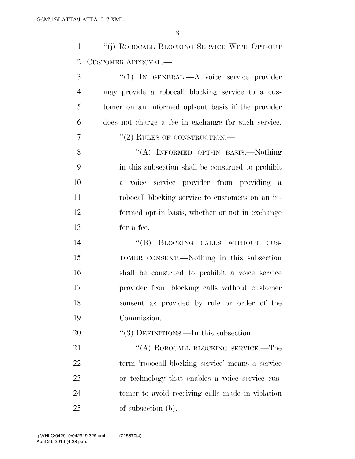''(j) ROBOCALL BLOCKING SERVICE WITH OPT-OUT CUSTOMER APPROVAL.—

3 "(1) IN GENERAL.—A voice service provider may provide a robocall blocking service to a cus- tomer on an informed opt-out basis if the provider does not charge a fee in exchange for such service. ''(2) RULES OF CONSTRUCTION.—

8 "(A) INFORMED OPT-IN BASIS.—Nothing in this subsection shall be construed to prohibit a voice service provider from providing a robocall blocking service to customers on an in- formed opt-in basis, whether or not in exchange for a fee.

14 "(B) BLOCKING CALLS WITHOUT CUS- TOMER CONSENT.—Nothing in this subsection shall be construed to prohibit a voice service provider from blocking calls without customer consent as provided by rule or order of the Commission.

20 "(3) DEFINITIONS.—In this subsection:

21 "(A) ROBOCALL BLOCKING SERVICE.—The term 'robocall blocking service' means a service or technology that enables a voice service cus- tomer to avoid receiving calls made in violation of subsection (b).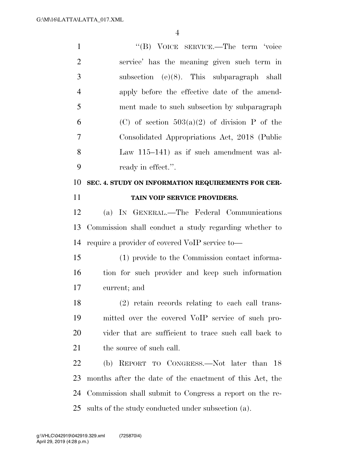| $\mathbf{1}$   | "(B) VOICE SERVICE.—The term 'voice                     |
|----------------|---------------------------------------------------------|
| $\overline{2}$ | service' has the meaning given such term in             |
| 3              | subsection (e) $(8)$ . This subparagraph shall          |
| $\overline{4}$ | apply before the effective date of the amend-           |
| 5              | ment made to such subsection by subparagraph            |
| 6              | (C) of section $503(a)(2)$ of division P of the         |
| 7              | Consolidated Appropriations Act, 2018 (Public           |
| 8              | Law 115-141) as if such amendment was al-               |
| 9              | ready in effect.".                                      |
| 10             | SEC. 4. STUDY ON INFORMATION REQUIREMENTS FOR CER-      |
| 11             | TAIN VOIP SERVICE PROVIDERS.                            |
| 12             | (a) IN GENERAL.—The Federal Communications              |
| 13             | Commission shall conduct a study regarding whether to   |
| 14             | require a provider of covered VoIP service to-          |
| 15             | (1) provide to the Commission contact informa-          |
| 16             | tion for such provider and keep such information        |
| 17             | current; and                                            |
| 18             | (2) retain records relating to each call trans-         |
| 19             | mitted over the covered VoIP service of such pro-       |
| 20             | vider that are sufficient to trace such call back to    |
| 21             | the source of such call.                                |
| 22             | (b) REPORT TO CONGRESS.—Not later than 18               |
| 23             | months after the date of the enactment of this Act, the |
| 24             | Commission shall submit to Congress a report on the re- |
| 25             | sults of the study conducted under subsection (a).      |